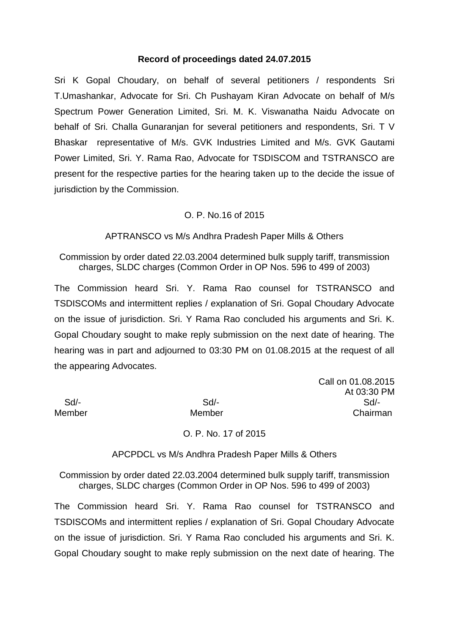### **Record of proceedings dated 24.07.2015**

Sri K Gopal Choudary, on behalf of several petitioners / respondents Sri T.Umashankar, Advocate for Sri. Ch Pushayam Kiran Advocate on behalf of M/s Spectrum Power Generation Limited, Sri. M. K. Viswanatha Naidu Advocate on behalf of Sri. Challa Gunaranjan for several petitioners and respondents, Sri. T V Bhaskar representative of M/s. GVK Industries Limited and M/s. GVK Gautami Power Limited, Sri. Y. Rama Rao, Advocate for TSDISCOM and TSTRANSCO are present for the respective parties for the hearing taken up to the decide the issue of jurisdiction by the Commission.

# O. P. No.16 of 2015

APTRANSCO vs M/s Andhra Pradesh Paper Mills & Others

Commission by order dated 22.03.2004 determined bulk supply tariff, transmission charges, SLDC charges (Common Order in OP Nos. 596 to 499 of 2003)

The Commission heard Sri. Y. Rama Rao counsel for TSTRANSCO and TSDISCOMs and intermittent replies / explanation of Sri. Gopal Choudary Advocate on the issue of jurisdiction. Sri. Y Rama Rao concluded his arguments and Sri. K. Gopal Choudary sought to make reply submission on the next date of hearing. The hearing was in part and adjourned to 03:30 PM on 01.08.2015 at the request of all the appearing Advocates.

Call on 01.08.2015 At 03:30 PM Sd/- Sd/- Sd/- Member Member Chairman

O. P. No. 17 of 2015

APCPDCL vs M/s Andhra Pradesh Paper Mills & Others

Commission by order dated 22.03.2004 determined bulk supply tariff, transmission charges, SLDC charges (Common Order in OP Nos. 596 to 499 of 2003)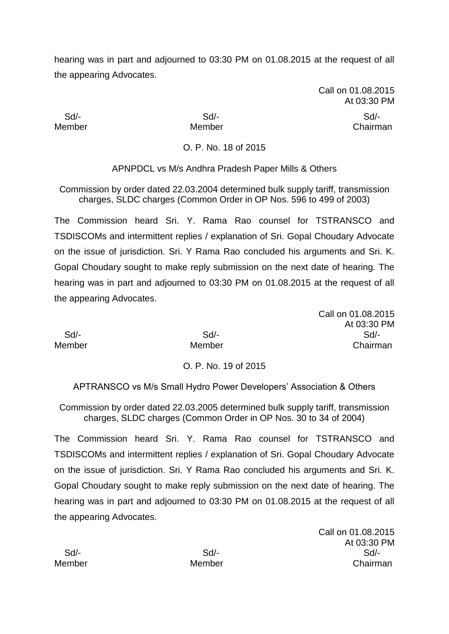> Call on 01.08.2015 At 03:30 PM

Sd/- Sd/- Sd/-

Member Member Chairman

# O. P. No. 18 of 2015

APNPDCL vs M/s Andhra Pradesh Paper Mills & Others

Commission by order dated 22.03.2004 determined bulk supply tariff, transmission charges, SLDC charges (Common Order in OP Nos. 596 to 499 of 2003)

The Commission heard Sri. Y. Rama Rao counsel for TSTRANSCO and TSDISCOMs and intermittent replies / explanation of Sri. Gopal Choudary Advocate on the issue of jurisdiction. Sri. Y Rama Rao concluded his arguments and Sri. K. Gopal Choudary sought to make reply submission on the next date of hearing. The hearing was in part and adjourned to 03:30 PM on 01.08.2015 at the request of all the appearing Advocates.

Call on 01.08.2015 At 03:30 PM Sd/- Sd/- Sd/- Member Member Chairman

O. P. No. 19 of 2015

APTRANSCO vs M/s Small Hydro Power Developers' Association & Others

Commission by order dated 22.03.2005 determined bulk supply tariff, transmission charges, SLDC charges (Common Order in OP Nos. 30 to 34 of 2004)

The Commission heard Sri. Y. Rama Rao counsel for TSTRANSCO and TSDISCOMs and intermittent replies / explanation of Sri. Gopal Choudary Advocate on the issue of jurisdiction. Sri. Y Rama Rao concluded his arguments and Sri. K. Gopal Choudary sought to make reply submission on the next date of hearing. The hearing was in part and adjourned to 03:30 PM on 01.08.2015 at the request of all the appearing Advocates.

Call on 01.08.2015 At 03:30 PM Sd/- Sd/- Sd/- Member Member Chairman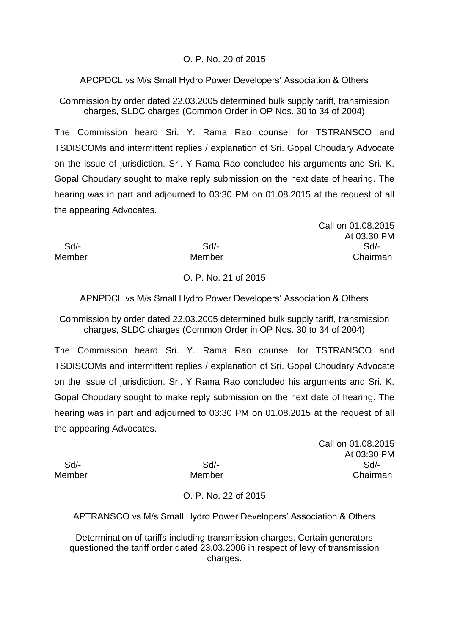# O. P. No. 20 of 2015

APCPDCL vs M/s Small Hydro Power Developers' Association & Others

Commission by order dated 22.03.2005 determined bulk supply tariff, transmission charges, SLDC charges (Common Order in OP Nos. 30 to 34 of 2004)

The Commission heard Sri. Y. Rama Rao counsel for TSTRANSCO and TSDISCOMs and intermittent replies / explanation of Sri. Gopal Choudary Advocate on the issue of jurisdiction. Sri. Y Rama Rao concluded his arguments and Sri. K. Gopal Choudary sought to make reply submission on the next date of hearing. The hearing was in part and adjourned to 03:30 PM on 01.08.2015 at the request of all the appearing Advocates.

Call on 01.08.2015 At 03:30 PM Sd/- Sd/- Sd/- Member Member **Member** Chairman

# O. P. No. 21 of 2015

APNPDCL vs M/s Small Hydro Power Developers' Association & Others

Commission by order dated 22.03.2005 determined bulk supply tariff, transmission charges, SLDC charges (Common Order in OP Nos. 30 to 34 of 2004)

The Commission heard Sri. Y. Rama Rao counsel for TSTRANSCO and TSDISCOMs and intermittent replies / explanation of Sri. Gopal Choudary Advocate on the issue of jurisdiction. Sri. Y Rama Rao concluded his arguments and Sri. K. Gopal Choudary sought to make reply submission on the next date of hearing. The hearing was in part and adjourned to 03:30 PM on 01.08.2015 at the request of all the appearing Advocates.

Call on 01.08.2015 At 03:30 PM Sd/- Sd/- Sd/- Member Member Chairman

# O. P. No. 22 of 2015

APTRANSCO vs M/s Small Hydro Power Developers' Association & Others

Determination of tariffs including transmission charges. Certain generators questioned the tariff order dated 23.03.2006 in respect of levy of transmission charges.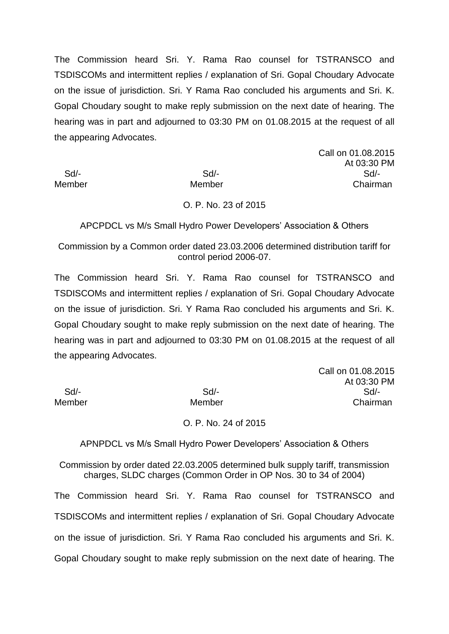Call on 01.08.2015 At 03:30 PM Sd/- Sd/- Sd/- Member Member Chairman

#### O. P. No. 23 of 2015

APCPDCL vs M/s Small Hydro Power Developers' Association & Others

Commission by a Common order dated 23.03.2006 determined distribution tariff for control period 2006-07.

The Commission heard Sri. Y. Rama Rao counsel for TSTRANSCO and TSDISCOMs and intermittent replies / explanation of Sri. Gopal Choudary Advocate on the issue of jurisdiction. Sri. Y Rama Rao concluded his arguments and Sri. K. Gopal Choudary sought to make reply submission on the next date of hearing. The hearing was in part and adjourned to 03:30 PM on 01.08.2015 at the request of all the appearing Advocates.

|        | Call on 01.08.2015 |
|--------|--------------------|
|        | At 03:30 PM        |
| Sd     | Sd/-               |
| Member | Chairman           |
|        |                    |

#### O. P. No. 24 of 2015

APNPDCL vs M/s Small Hydro Power Developers' Association & Others

Commission by order dated 22.03.2005 determined bulk supply tariff, transmission charges, SLDC charges (Common Order in OP Nos. 30 to 34 of 2004)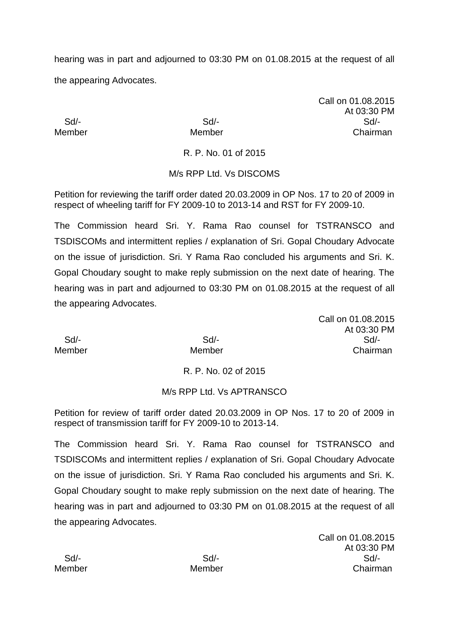Call on 01.08.2015 At 03:30 PM Sd/- Sd/- Sd/- Member Member Chairman

R. P. No. 01 of 2015

# M/s RPP Ltd. Vs DISCOMS

Petition for reviewing the tariff order dated 20.03.2009 in OP Nos. 17 to 20 of 2009 in respect of wheeling tariff for FY 2009-10 to 2013-14 and RST for FY 2009-10.

The Commission heard Sri. Y. Rama Rao counsel for TSTRANSCO and TSDISCOMs and intermittent replies / explanation of Sri. Gopal Choudary Advocate on the issue of jurisdiction. Sri. Y Rama Rao concluded his arguments and Sri. K. Gopal Choudary sought to make reply submission on the next date of hearing. The hearing was in part and adjourned to 03:30 PM on 01.08.2015 at the request of all the appearing Advocates.

Call on 01.08.2015 At 03:30 PM Sd/- Sd/- Sd/- Member Member Chairman

# R. P. No. 02 of 2015

# M/s RPP Ltd. Vs APTRANSCO

Petition for review of tariff order dated 20.03.2009 in OP Nos. 17 to 20 of 2009 in respect of transmission tariff for FY 2009-10 to 2013-14.

The Commission heard Sri. Y. Rama Rao counsel for TSTRANSCO and TSDISCOMs and intermittent replies / explanation of Sri. Gopal Choudary Advocate on the issue of jurisdiction. Sri. Y Rama Rao concluded his arguments and Sri. K. Gopal Choudary sought to make reply submission on the next date of hearing. The hearing was in part and adjourned to 03:30 PM on 01.08.2015 at the request of all the appearing Advocates.

Call on 01.08.2015 At 03:30 PM Sd/- Sd/- Sd/- Member Member Chairman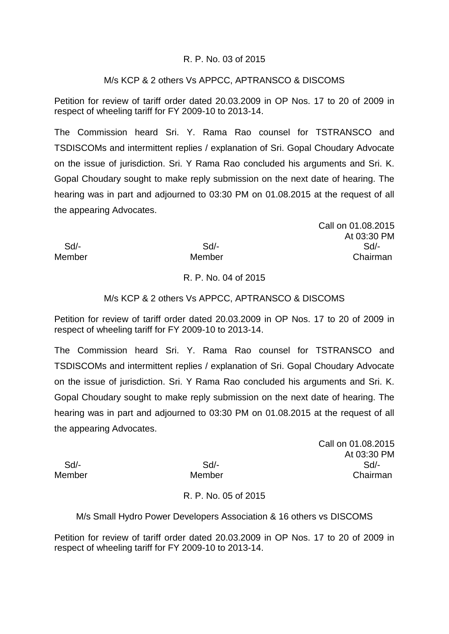### R. P. No. 03 of 2015

### M/s KCP & 2 others Vs APPCC, APTRANSCO & DISCOMS

Petition for review of tariff order dated 20.03.2009 in OP Nos. 17 to 20 of 2009 in respect of wheeling tariff for FY 2009-10 to 2013-14.

The Commission heard Sri. Y. Rama Rao counsel for TSTRANSCO and TSDISCOMs and intermittent replies / explanation of Sri. Gopal Choudary Advocate on the issue of jurisdiction. Sri. Y Rama Rao concluded his arguments and Sri. K. Gopal Choudary sought to make reply submission on the next date of hearing. The hearing was in part and adjourned to 03:30 PM on 01.08.2015 at the request of all the appearing Advocates.

Call on 01.08.2015 At 03:30 PM Sd/- Sd/- Sd/- Member Member **Member** Chairman

### R. P. No. 04 of 2015

### M/s KCP & 2 others Vs APPCC, APTRANSCO & DISCOMS

Petition for review of tariff order dated 20.03.2009 in OP Nos. 17 to 20 of 2009 in respect of wheeling tariff for FY 2009-10 to 2013-14.

The Commission heard Sri. Y. Rama Rao counsel for TSTRANSCO and TSDISCOMs and intermittent replies / explanation of Sri. Gopal Choudary Advocate on the issue of jurisdiction. Sri. Y Rama Rao concluded his arguments and Sri. K. Gopal Choudary sought to make reply submission on the next date of hearing. The hearing was in part and adjourned to 03:30 PM on 01.08.2015 at the request of all the appearing Advocates.

Call on 01.08.2015 At 03:30 PM Sd/- Sd/- Sd/- Member Member Chairman

# R. P. No. 05 of 2015

M/s Small Hydro Power Developers Association & 16 others vs DISCOMS

Petition for review of tariff order dated 20.03.2009 in OP Nos. 17 to 20 of 2009 in respect of wheeling tariff for FY 2009-10 to 2013-14.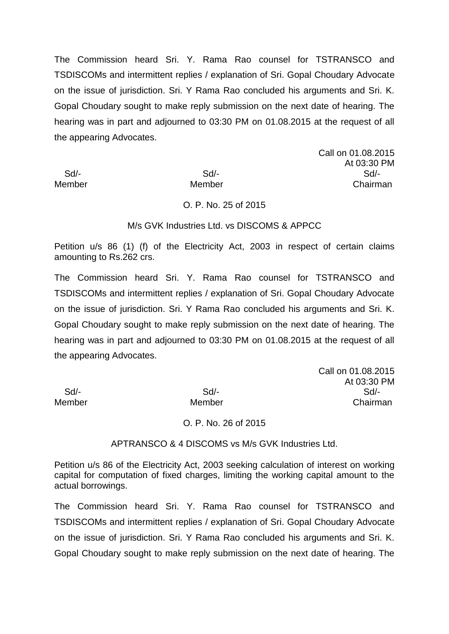Call on 01.08.2015 At 03:30 PM Sd/- Sd/- Sd/- Member Member Chairman

#### O. P. No. 25 of 2015

#### M/s GVK Industries Ltd. vs DISCOMS & APPCC

Petition u/s 86 (1) (f) of the Electricity Act, 2003 in respect of certain claims amounting to Rs.262 crs.

The Commission heard Sri. Y. Rama Rao counsel for TSTRANSCO and TSDISCOMs and intermittent replies / explanation of Sri. Gopal Choudary Advocate on the issue of jurisdiction. Sri. Y Rama Rao concluded his arguments and Sri. K. Gopal Choudary sought to make reply submission on the next date of hearing. The hearing was in part and adjourned to 03:30 PM on 01.08.2015 at the request of all the appearing Advocates.

Call on 01.08.2015 At 03:30 PM Sd/- Sd/- Sd/- Member Member Chairman

#### O. P. No. 26 of 2015

APTRANSCO & 4 DISCOMS vs M/s GVK Industries Ltd.

Petition u/s 86 of the Electricity Act, 2003 seeking calculation of interest on working capital for computation of fixed charges, limiting the working capital amount to the actual borrowings.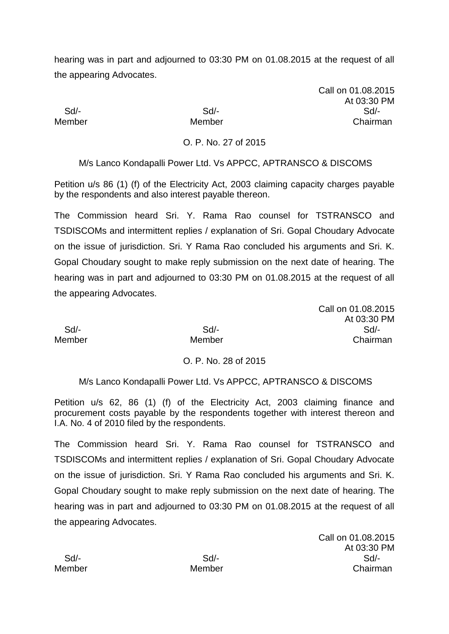Call on 01.08.2015 At 03:30 PM Sd/- Sd/- Sd/- Member Member Chairman

Call on 01.08.2015

At 03:30 PM

# O. P. No. 27 of 2015

M/s Lanco Kondapalli Power Ltd. Vs APPCC, APTRANSCO & DISCOMS

Petition u/s 86 (1) (f) of the Electricity Act, 2003 claiming capacity charges payable by the respondents and also interest payable thereon.

The Commission heard Sri. Y. Rama Rao counsel for TSTRANSCO and TSDISCOMs and intermittent replies / explanation of Sri. Gopal Choudary Advocate on the issue of jurisdiction. Sri. Y Rama Rao concluded his arguments and Sri. K. Gopal Choudary sought to make reply submission on the next date of hearing. The hearing was in part and adjourned to 03:30 PM on 01.08.2015 at the request of all the appearing Advocates.

 Sd/- Sd/- Sd/- Member Member Chairman

# O. P. No. 28 of 2015

M/s Lanco Kondapalli Power Ltd. Vs APPCC, APTRANSCO & DISCOMS

Petition u/s 62, 86 (1) (f) of the Electricity Act, 2003 claiming finance and procurement costs payable by the respondents together with interest thereon and I.A. No. 4 of 2010 filed by the respondents.

The Commission heard Sri. Y. Rama Rao counsel for TSTRANSCO and TSDISCOMs and intermittent replies / explanation of Sri. Gopal Choudary Advocate on the issue of jurisdiction. Sri. Y Rama Rao concluded his arguments and Sri. K. Gopal Choudary sought to make reply submission on the next date of hearing. The hearing was in part and adjourned to 03:30 PM on 01.08.2015 at the request of all the appearing Advocates.

Call on 01.08.2015 At 03:30 PM Sd/- Sd/- Sd/- Member Member Chairman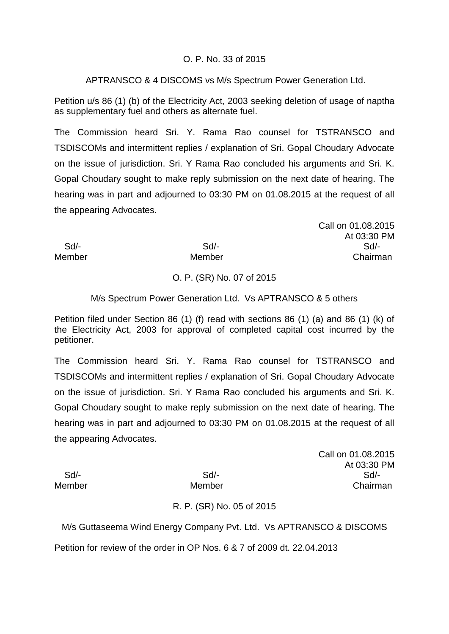# O. P. No. 33 of 2015

APTRANSCO & 4 DISCOMS vs M/s Spectrum Power Generation Ltd.

Petition u/s 86 (1) (b) of the Electricity Act, 2003 seeking deletion of usage of naptha as supplementary fuel and others as alternate fuel.

The Commission heard Sri. Y. Rama Rao counsel for TSTRANSCO and TSDISCOMs and intermittent replies / explanation of Sri. Gopal Choudary Advocate on the issue of jurisdiction. Sri. Y Rama Rao concluded his arguments and Sri. K. Gopal Choudary sought to make reply submission on the next date of hearing. The hearing was in part and adjourned to 03:30 PM on 01.08.2015 at the request of all the appearing Advocates.

Call on 01.08.2015 At 03:30 PM Sd/- Sd/- Sd/- Member Member **Member** Chairman

# O. P. (SR) No. 07 of 2015

# M/s Spectrum Power Generation Ltd. Vs APTRANSCO & 5 others

Petition filed under Section 86 (1) (f) read with sections 86 (1) (a) and 86 (1) (k) of the Electricity Act, 2003 for approval of completed capital cost incurred by the petitioner.

The Commission heard Sri. Y. Rama Rao counsel for TSTRANSCO and TSDISCOMs and intermittent replies / explanation of Sri. Gopal Choudary Advocate on the issue of jurisdiction. Sri. Y Rama Rao concluded his arguments and Sri. K. Gopal Choudary sought to make reply submission on the next date of hearing. The hearing was in part and adjourned to 03:30 PM on 01.08.2015 at the request of all the appearing Advocates.

Call on 01.08.2015 At 03:30 PM Sd/- Sd/- Sd/- Member Member Chairman

# R. P. (SR) No. 05 of 2015

M/s Guttaseema Wind Energy Company Pvt. Ltd. Vs APTRANSCO & DISCOMS Petition for review of the order in OP Nos. 6 & 7 of 2009 dt. 22.04.2013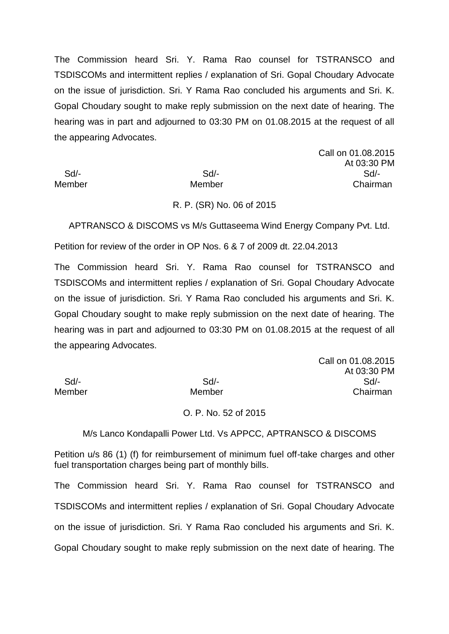Call on 01.08.2015 At 03:30 PM Sd/- Sd/- Sd/- Member Member Chairman

#### R. P. (SR) No. 06 of 2015

APTRANSCO & DISCOMS vs M/s Guttaseema Wind Energy Company Pvt. Ltd.

Petition for review of the order in OP Nos. 6 & 7 of 2009 dt. 22.04.2013

The Commission heard Sri. Y. Rama Rao counsel for TSTRANSCO and TSDISCOMs and intermittent replies / explanation of Sri. Gopal Choudary Advocate on the issue of jurisdiction. Sri. Y Rama Rao concluded his arguments and Sri. K. Gopal Choudary sought to make reply submission on the next date of hearing. The hearing was in part and adjourned to 03:30 PM on 01.08.2015 at the request of all the appearing Advocates.

|        |        | Call on 01.08.2015 |
|--------|--------|--------------------|
|        |        | At 03:30 PM        |
| Sd     | $Sd$ - | Sd/-               |
| Member | Member | Chairman           |

#### O. P. No. 52 of 2015

M/s Lanco Kondapalli Power Ltd. Vs APPCC, APTRANSCO & DISCOMS

Petition u/s 86 (1) (f) for reimbursement of minimum fuel off-take charges and other fuel transportation charges being part of monthly bills.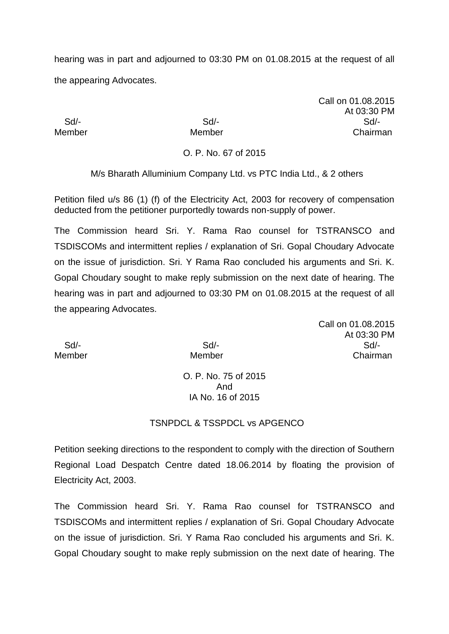Call on 01.08.2015 At 03:30 PM Sd/- Sd/- Sd/- Member Member Chairman

O. P. No. 67 of 2015

M/s Bharath Alluminium Company Ltd. vs PTC India Ltd., & 2 others

Petition filed u/s 86 (1) (f) of the Electricity Act, 2003 for recovery of compensation deducted from the petitioner purportedly towards non-supply of power.

The Commission heard Sri. Y. Rama Rao counsel for TSTRANSCO and TSDISCOMs and intermittent replies / explanation of Sri. Gopal Choudary Advocate on the issue of jurisdiction. Sri. Y Rama Rao concluded his arguments and Sri. K. Gopal Choudary sought to make reply submission on the next date of hearing. The hearing was in part and adjourned to 03:30 PM on 01.08.2015 at the request of all the appearing Advocates.

Call on 01.08.2015 At 03:30 PM Sd/- Sd/- Sd/- Member Member Chairman

O. P. No. 75 of 2015 And IA No. 16 of 2015

#### TSNPDCL & TSSPDCL vs APGENCO

Petition seeking directions to the respondent to comply with the direction of Southern Regional Load Despatch Centre dated 18.06.2014 by floating the provision of Electricity Act, 2003.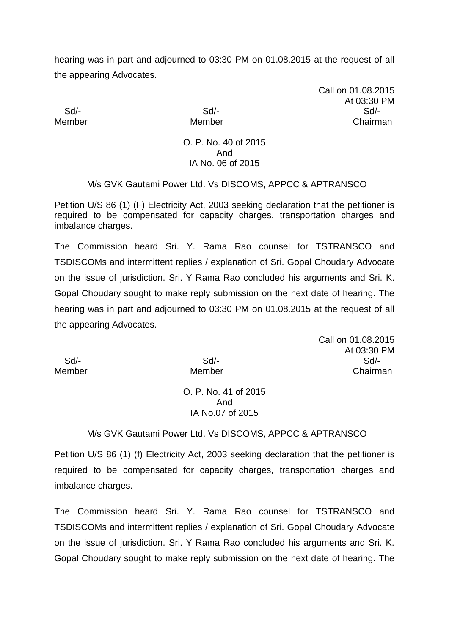Call on 01.08.2015 At 03:30 PM Sd/- Sd/- Sd/- Member Member Chairman

#### O. P. No. 40 of 2015 And IA No. 06 of 2015

### M/s GVK Gautami Power Ltd. Vs DISCOMS, APPCC & APTRANSCO

Petition U/S 86 (1) (F) Electricity Act, 2003 seeking declaration that the petitioner is required to be compensated for capacity charges, transportation charges and imbalance charges.

The Commission heard Sri. Y. Rama Rao counsel for TSTRANSCO and TSDISCOMs and intermittent replies / explanation of Sri. Gopal Choudary Advocate on the issue of jurisdiction. Sri. Y Rama Rao concluded his arguments and Sri. K. Gopal Choudary sought to make reply submission on the next date of hearing. The hearing was in part and adjourned to 03:30 PM on 01.08.2015 at the request of all the appearing Advocates.

Call on 01.08.2015 At 03:30 PM Sd/- Sd/- Sd/- Member Member Chairman

#### O. P. No. 41 of 2015 And IA No.07 of 2015

#### M/s GVK Gautami Power Ltd. Vs DISCOMS, APPCC & APTRANSCO

Petition U/S 86 (1) (f) Electricity Act, 2003 seeking declaration that the petitioner is required to be compensated for capacity charges, transportation charges and imbalance charges.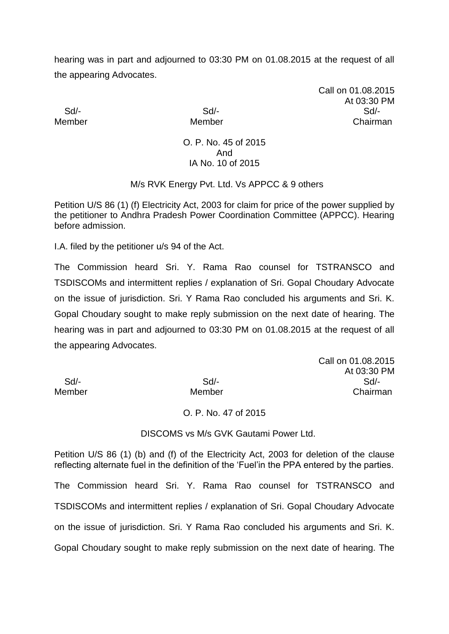Call on 01.08.2015 At 03:30 PM Sd/- Sd/- Sd/- Member Member Chairman

#### O. P. No. 45 of 2015 And IA No. 10 of 2015

### M/s RVK Energy Pvt. Ltd. Vs APPCC & 9 others

Petition U/S 86 (1) (f) Electricity Act, 2003 for claim for price of the power supplied by the petitioner to Andhra Pradesh Power Coordination Committee (APPCC). Hearing before admission.

I.A. filed by the petitioner u/s 94 of the Act.

The Commission heard Sri. Y. Rama Rao counsel for TSTRANSCO and TSDISCOMs and intermittent replies / explanation of Sri. Gopal Choudary Advocate on the issue of jurisdiction. Sri. Y Rama Rao concluded his arguments and Sri. K. Gopal Choudary sought to make reply submission on the next date of hearing. The hearing was in part and adjourned to 03:30 PM on 01.08.2015 at the request of all the appearing Advocates.

|        |        | Call on 01.08.2015 |
|--------|--------|--------------------|
|        |        | At 03:30 PM        |
| Sd     | $Sd$ - | $Sd$ -             |
| Member | Member | Chairman           |

#### O. P. No. 47 of 2015

DISCOMS vs M/s GVK Gautami Power Ltd.

Petition U/S 86 (1) (b) and (f) of the Electricity Act, 2003 for deletion of the clause reflecting alternate fuel in the definition of the 'Fuel'in the PPA entered by the parties. The Commission heard Sri. Y. Rama Rao counsel for TSTRANSCO and TSDISCOMs and intermittent replies / explanation of Sri. Gopal Choudary Advocate on the issue of jurisdiction. Sri. Y Rama Rao concluded his arguments and Sri. K. Gopal Choudary sought to make reply submission on the next date of hearing. The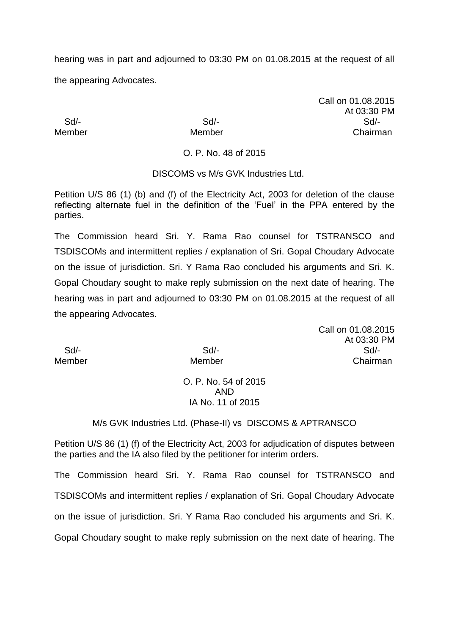Call on 01.08.2015 At 03:30 PM Sd/- Sd/- Sd/- Member Member Chairman

O. P. No. 48 of 2015

DISCOMS vs M/s GVK Industries Ltd.

Petition U/S 86 (1) (b) and (f) of the Electricity Act, 2003 for deletion of the clause reflecting alternate fuel in the definition of the 'Fuel' in the PPA entered by the parties.

The Commission heard Sri. Y. Rama Rao counsel for TSTRANSCO and TSDISCOMs and intermittent replies / explanation of Sri. Gopal Choudary Advocate on the issue of jurisdiction. Sri. Y Rama Rao concluded his arguments and Sri. K. Gopal Choudary sought to make reply submission on the next date of hearing. The hearing was in part and adjourned to 03:30 PM on 01.08.2015 at the request of all the appearing Advocates.

Call on 01.08.2015 At 03:30 PM Sd/- Sd/- Sd/- Member Member Chairman

> O. P. No. 54 of 2015 AND IA No. 11 of 2015

M/s GVK Industries Ltd. (Phase-II) vs DISCOMS & APTRANSCO

Petition U/S 86 (1) (f) of the Electricity Act, 2003 for adjudication of disputes between the parties and the IA also filed by the petitioner for interim orders.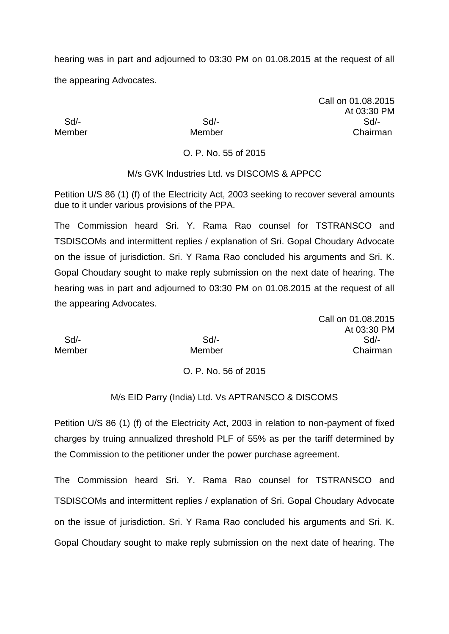Call on 01.08.2015 At 03:30 PM Sd/- Sd/- Sd/- Member Member **Member** Chairman

O. P. No. 55 of 2015

# M/s GVK Industries Ltd. vs DISCOMS & APPCC

Petition U/S 86 (1) (f) of the Electricity Act, 2003 seeking to recover several amounts due to it under various provisions of the PPA.

The Commission heard Sri. Y. Rama Rao counsel for TSTRANSCO and TSDISCOMs and intermittent replies / explanation of Sri. Gopal Choudary Advocate on the issue of jurisdiction. Sri. Y Rama Rao concluded his arguments and Sri. K. Gopal Choudary sought to make reply submission on the next date of hearing. The hearing was in part and adjourned to 03:30 PM on 01.08.2015 at the request of all the appearing Advocates.

|        |        | Call on 01.08.2015 |
|--------|--------|--------------------|
|        |        | At 03:30 PM        |
| Sd/-   | $Sd$ - | $Sd/$ -            |
| Member | Member | Chairman           |

# O. P. No. 56 of 2015

# M/s EID Parry (India) Ltd. Vs APTRANSCO & DISCOMS

Petition U/S 86 (1) (f) of the Electricity Act, 2003 in relation to non-payment of fixed charges by truing annualized threshold PLF of 55% as per the tariff determined by the Commission to the petitioner under the power purchase agreement.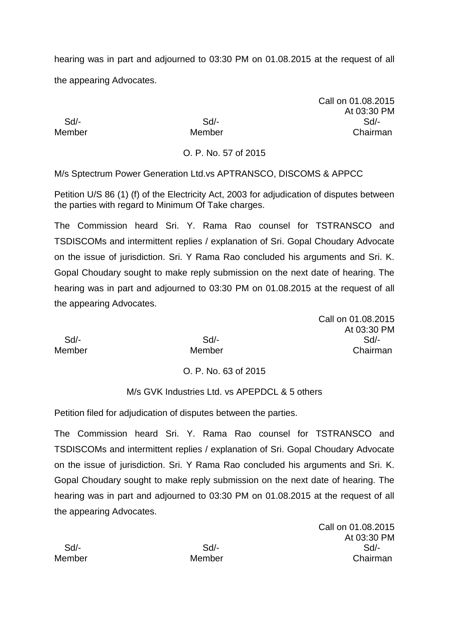Call on 01.08.2015 At 03:30 PM Sd/- Sd/- Sd/- Member Member Chairman

O. P. No. 57 of 2015

M/s Sptectrum Power Generation Ltd.vs APTRANSCO, DISCOMS & APPCC

Petition U/S 86 (1) (f) of the Electricity Act, 2003 for adjudication of disputes between the parties with regard to Minimum Of Take charges.

The Commission heard Sri. Y. Rama Rao counsel for TSTRANSCO and TSDISCOMs and intermittent replies / explanation of Sri. Gopal Choudary Advocate on the issue of jurisdiction. Sri. Y Rama Rao concluded his arguments and Sri. K. Gopal Choudary sought to make reply submission on the next date of hearing. The hearing was in part and adjourned to 03:30 PM on 01.08.2015 at the request of all the appearing Advocates.

|        |        | Call on 01.08.2015 |
|--------|--------|--------------------|
|        |        | At 03:30 PM        |
| Sd/-   | Sd/-   | Sd                 |
| Member | Member | Chairman           |

# O. P. No. 63 of 2015

# M/s GVK Industries Ltd. vs APEPDCL & 5 others

Petition filed for adjudication of disputes between the parties.

The Commission heard Sri. Y. Rama Rao counsel for TSTRANSCO and TSDISCOMs and intermittent replies / explanation of Sri. Gopal Choudary Advocate on the issue of jurisdiction. Sri. Y Rama Rao concluded his arguments and Sri. K. Gopal Choudary sought to make reply submission on the next date of hearing. The hearing was in part and adjourned to 03:30 PM on 01.08.2015 at the request of all the appearing Advocates.

Call on 01.08.2015 At 03:30 PM Sd/- Sd/- Sd/- Member Member Chairman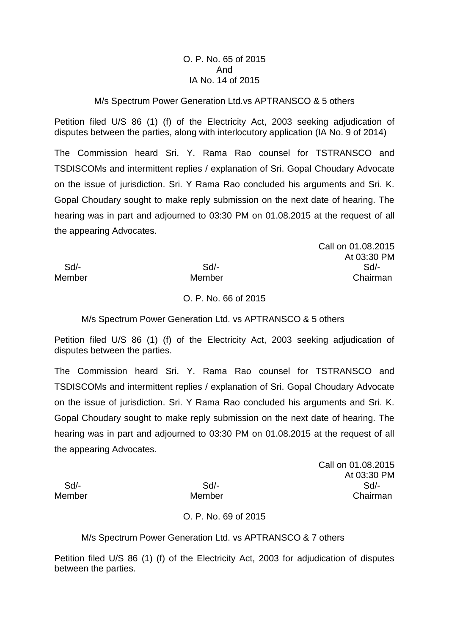# O. P. No. 65 of 2015 And IA No. 14 of 2015

### M/s Spectrum Power Generation Ltd.vs APTRANSCO & 5 others

Petition filed U/S 86 (1) (f) of the Electricity Act, 2003 seeking adjudication of disputes between the parties, along with interlocutory application (IA No. 9 of 2014)

The Commission heard Sri. Y. Rama Rao counsel for TSTRANSCO and TSDISCOMs and intermittent replies / explanation of Sri. Gopal Choudary Advocate on the issue of jurisdiction. Sri. Y Rama Rao concluded his arguments and Sri. K. Gopal Choudary sought to make reply submission on the next date of hearing. The hearing was in part and adjourned to 03:30 PM on 01.08.2015 at the request of all the appearing Advocates.

Call on 01.08.2015 At 03:30 PM Sd/- Sd/- Sd/- Member Member Chairman

O. P. No. 66 of 2015

M/s Spectrum Power Generation Ltd. vs APTRANSCO & 5 others

Petition filed U/S 86 (1) (f) of the Electricity Act, 2003 seeking adjudication of disputes between the parties.

The Commission heard Sri. Y. Rama Rao counsel for TSTRANSCO and TSDISCOMs and intermittent replies / explanation of Sri. Gopal Choudary Advocate on the issue of jurisdiction. Sri. Y Rama Rao concluded his arguments and Sri. K. Gopal Choudary sought to make reply submission on the next date of hearing. The hearing was in part and adjourned to 03:30 PM on 01.08.2015 at the request of all the appearing Advocates.

Call on 01.08.2015 At 03:30 PM Sd/- Sd/- Sd/- Member Member Member Chairman

O. P. No. 69 of 2015

M/s Spectrum Power Generation Ltd. vs APTRANSCO & 7 others

Petition filed U/S 86 (1) (f) of the Electricity Act, 2003 for adjudication of disputes between the parties.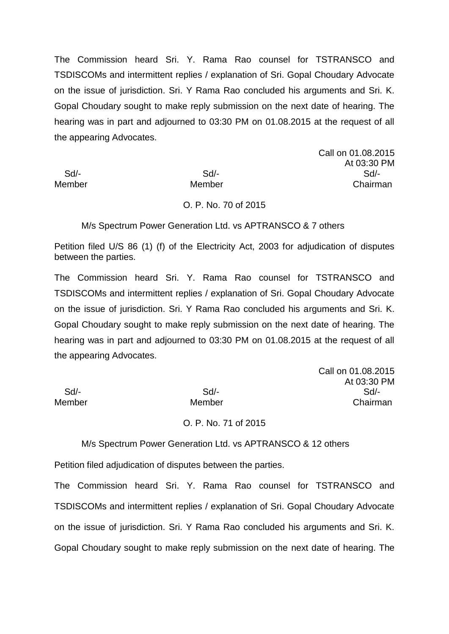Call on 01.08.2015 At 03:30 PM Sd/- Sd/- Sd/- Member Member Chairman

Call on 01.08.2015

At 03:30 PM

#### O. P. No. 70 of 2015

M/s Spectrum Power Generation Ltd. vs APTRANSCO & 7 others

Petition filed U/S 86 (1) (f) of the Electricity Act, 2003 for adjudication of disputes between the parties.

The Commission heard Sri. Y. Rama Rao counsel for TSTRANSCO and TSDISCOMs and intermittent replies / explanation of Sri. Gopal Choudary Advocate on the issue of jurisdiction. Sri. Y Rama Rao concluded his arguments and Sri. K. Gopal Choudary sought to make reply submission on the next date of hearing. The hearing was in part and adjourned to 03:30 PM on 01.08.2015 at the request of all the appearing Advocates.

 Sd/- Sd/- Sd/- Member Member Chairman

#### O. P. No. 71 of 2015

M/s Spectrum Power Generation Ltd. vs APTRANSCO & 12 others

Petition filed adjudication of disputes between the parties.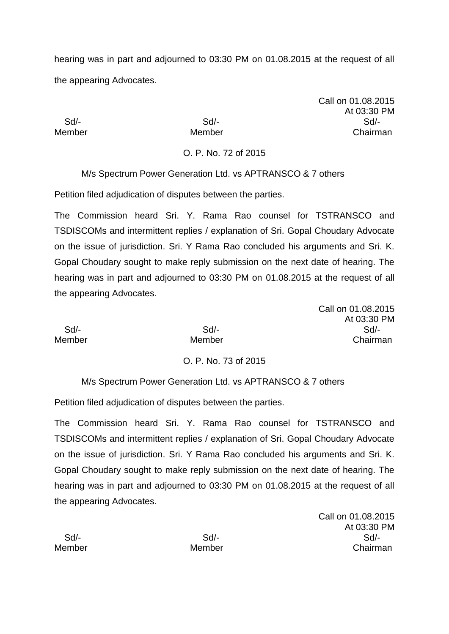Call on 01.08.2015 At 03:30 PM Sd/- Sd/- Sd/- Member Member Chairman

O. P. No. 72 of 2015

M/s Spectrum Power Generation Ltd. vs APTRANSCO & 7 others

Petition filed adjudication of disputes between the parties.

The Commission heard Sri. Y. Rama Rao counsel for TSTRANSCO and TSDISCOMs and intermittent replies / explanation of Sri. Gopal Choudary Advocate on the issue of jurisdiction. Sri. Y Rama Rao concluded his arguments and Sri. K. Gopal Choudary sought to make reply submission on the next date of hearing. The hearing was in part and adjourned to 03:30 PM on 01.08.2015 at the request of all the appearing Advocates.

Call on 01.08.2015 At 03:30 PM Sd/- Sd/- Sd/- Member Member Chairman

# O. P. No. 73 of 2015

M/s Spectrum Power Generation Ltd. vs APTRANSCO & 7 others

Petition filed adjudication of disputes between the parties.

The Commission heard Sri. Y. Rama Rao counsel for TSTRANSCO and TSDISCOMs and intermittent replies / explanation of Sri. Gopal Choudary Advocate on the issue of jurisdiction. Sri. Y Rama Rao concluded his arguments and Sri. K. Gopal Choudary sought to make reply submission on the next date of hearing. The hearing was in part and adjourned to 03:30 PM on 01.08.2015 at the request of all the appearing Advocates.

Call on 01.08.2015 At 03:30 PM Sd/- Sd/- Sd/- Member Member Chairman